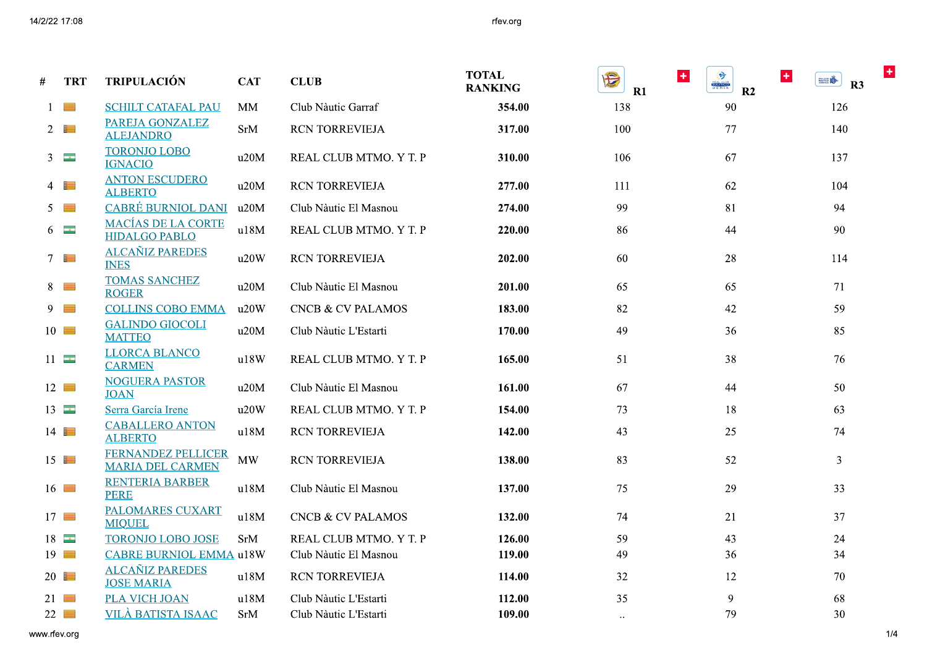## rfev.org

| # | <b>TRT</b>          | <b>TRIPULACIÓN</b>                                   | <b>CAT</b> | <b>CLUB</b>                  | <b>TOTAL</b><br><b>RANKING</b> | $\pm$<br>Đ<br>R1      | 3<br>$\ddot{}$<br><b>MALENO</b><br>R <sub>2</sub> | $\pm$<br><b>BEER</b><br>R3 |
|---|---------------------|------------------------------------------------------|------------|------------------------------|--------------------------------|-----------------------|---------------------------------------------------|----------------------------|
|   | $\frac{1}{2}$       | <b>SCHILT CATAFAL PAU</b>                            | MM         | Club Nàutic Garraf           | 354.00                         | 138                   | 90                                                | 126                        |
|   | $2 \Box$            | PAREJA GONZALEZ<br><b>ALEJANDRO</b>                  | <b>SrM</b> | <b>RCN TORREVIEJA</b>        | 317.00                         | 100                   | 77                                                | 140                        |
|   | $3 \equiv$          | <b>TORONJO LOBO</b><br><b>IGNACIO</b>                | u20M       | REAL CLUB MTMO. Y T. P       | 310.00                         | 106                   | 67                                                | 137                        |
|   | $4 \Box$            | <b>ANTON ESCUDERO</b><br><b>ALBERTO</b>              | u20M       | RCN TORREVIEJA               | 277.00                         | 111                   | 62                                                | 104                        |
|   | $5 \equiv$          | <b>CABRÉ BURNIOL DANI</b>                            | u20M       | Club Nàutic El Masnou        | 274.00                         | 99                    | 81                                                | 94                         |
|   | $6\equiv$           | <b>MACÍAS DE LA CORTE</b><br><b>HIDALGO PABLO</b>    | u18M       | REAL CLUB MTMO. Y T. P       | 220.00                         | 86                    | 44                                                | 90                         |
|   | $7 \Box$            | <b>ALCAÑIZ PAREDES</b><br><b>INES</b>                | u20W       | <b>RCN TORREVIEJA</b>        | 202.00                         | 60                    | 28                                                | 114                        |
|   | $8 \Box$            | <b>TOMAS SANCHEZ</b><br><b>ROGER</b>                 | u20M       | Club Nàutic El Masnou        | 201.00                         | 65                    | 65                                                | 71                         |
|   | $9 \Box$            | <b>COLLINS COBO EMMA</b>                             | u20W       | <b>CNCB &amp; CV PALAMOS</b> | 183.00                         | 82                    | 42                                                | 59                         |
|   | $10$ $\blacksquare$ | <b>GALINDO GIOCOLI</b><br><b>MATTEO</b>              | u20M       | Club Nàutic L'Estarti        | 170.00                         | 49                    | 36                                                | 85                         |
|   | $11 -$              | <b>LLORCA BLANCO</b><br><b>CARMEN</b>                | u18W       | REAL CLUB MTMO. Y T. P       | 165.00                         | 51                    | 38                                                | 76                         |
|   | $12 \equiv$         | <b>NOGUERA PASTOR</b><br><b>JOAN</b>                 | u20M       | Club Nàutic El Masnou        | 161.00                         | 67                    | 44                                                | 50                         |
|   | 13                  | Serra García Irene                                   | u20W       | REAL CLUB MTMO. Y T. P       | 154.00                         | 73                    | 18                                                | 63                         |
|   | 14                  | <b>CABALLERO ANTON</b><br><b>ALBERTO</b>             | u18M       | <b>RCN TORREVIEJA</b>        | 142.00                         | 43                    | 25                                                | 74                         |
|   | $15 \equiv$         | <b>FERNANDEZ PELLICER</b><br><b>MARIA DEL CARMEN</b> | <b>MW</b>  | RCN TORREVIEJA               | 138.00                         | 83                    | 52                                                | $\overline{3}$             |
|   | $16$ $\blacksquare$ | <b>RENTERIA BARBER</b><br><b>PERE</b>                | u18M       | Club Nàutic El Masnou        | 137.00                         | 75                    | 29                                                | 33                         |
|   | $17 \equiv$         | <b>PALOMARES CUXART</b><br><b>MIQUEL</b>             | u18M       | <b>CNCB &amp; CV PALAMOS</b> | 132.00                         | 74                    | 21                                                | 37                         |
|   | 18                  | <b>TORONJO LOBO JOSE</b>                             | SrM        | REAL CLUB MTMO. Y T. P       | 126.00                         | 59                    | 43                                                | 24                         |
|   | $19$ $\blacksquare$ | <b>CABRE BURNIOL EMMA u18W</b>                       |            | Club Nàutic El Masnou        | 119.00                         | 49                    | 36                                                | 34                         |
|   | 20                  | <b>ALCAÑIZ PAREDES</b><br><b>JOSE MARIA</b>          | u18M       | <b>RCN TORREVIEJA</b>        | 114.00                         | 32                    | 12                                                | 70                         |
|   | 21                  | PLA VICH JOAN                                        | u18M       | Club Nàutic L'Estarti        | 112.00                         | 35                    | 9                                                 | 68                         |
|   | $22 \equiv$         | <b>VILÀ BATISTA ISAAC</b>                            | <b>SrM</b> | Club Nàutic L'Estarti        | 109.00                         | $\dddot{\phantom{0}}$ | 79                                                | 30                         |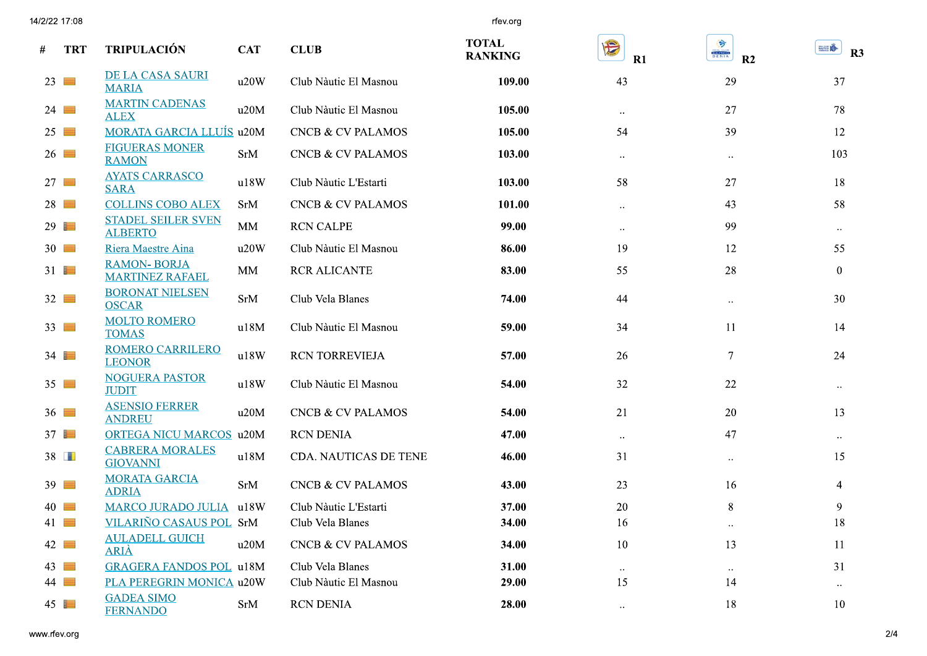|                     | 14/2/22 17:08 |                                              |            |                              | rfev.org                       |                  |                                       |                  |
|---------------------|---------------|----------------------------------------------|------------|------------------------------|--------------------------------|------------------|---------------------------------------|------------------|
| #                   | <b>TRT</b>    | <b>TRIPULACIÓN</b>                           | <b>CAT</b> | <b>CLUB</b>                  | <b>TOTAL</b><br><b>RANKING</b> | E<br>R1          | ۳<br><b>MALILLE</b><br>R <sub>2</sub> | EFA<br>R3        |
| $23 \equiv$         |               | DE LA CASA SAURI<br><b>MARIA</b>             | u20W       | Club Nàutic El Masnou        | 109.00                         | 43               | 29                                    | 37               |
| $24 \equiv$         |               | <b>MARTIN CADENAS</b><br><b>ALEX</b>         | u20M       | Club Nàutic El Masnou        | 105.00                         | $\ldots$         | 27                                    | 78               |
| $25 \equiv$         |               | <b>MORATA GARCIA LLUÍS u20M</b>              |            | CNCB & CV PALAMOS            | 105.00                         | 54               | 39                                    | 12               |
| 26                  |               | <b>FIGUERAS MONER</b><br><b>RAMON</b>        | <b>SrM</b> | <b>CNCB &amp; CV PALAMOS</b> | 103.00                         | $\bullet\bullet$ | $\bullet\bullet$                      | 103              |
| $27 \equiv$         |               | <b>AYATS CARRASCO</b><br><b>SARA</b>         | u18W       | Club Nàutic L'Estarti        | 103.00                         | 58               | 27                                    | 18               |
| $28 \equiv$         |               | <b>COLLINS COBO ALEX</b>                     | SrM        | <b>CNCB &amp; CV PALAMOS</b> | 101.00                         | $\ldots$         | 43                                    | 58               |
| 29                  |               | <b>STADEL SEILER SVEN</b><br><b>ALBERTO</b>  | MM         | <b>RCN CALPE</b>             | 99.00                          | $\ldots$         | 99                                    | $\bullet\bullet$ |
| $30 \equiv$         |               | Riera Maestre Aina                           | u20W       | Club Nàutic El Masnou        | 86.00                          | 19               | 12                                    | 55               |
| 31                  |               | <b>RAMON-BORJA</b><br><b>MARTINEZ RAFAEL</b> | MM         | <b>RCR ALICANTE</b>          | 83.00                          | 55               | 28                                    | $\mathbf{0}$     |
| $32 \equiv$         |               | <b>BORONAT NIELSEN</b><br><b>OSCAR</b>       | <b>SrM</b> | Club Vela Blanes             | 74.00                          | 44               | $\ddot{\phantom{1}}$                  | 30               |
| $33 \equiv$         |               | <b>MOLTO ROMERO</b><br><b>TOMAS</b>          | u18M       | Club Nàutic El Masnou        | 59.00                          | 34               | 11                                    | 14               |
| 34                  |               | <b>ROMERO CARRILERO</b><br><b>LEONOR</b>     | u18W       | RCN TORREVIEJA               | 57.00                          | 26               | $7\phantom{.0}$                       | 24               |
| $35 \equiv$         |               | <b>NOGUERA PASTOR</b><br><b>JUDIT</b>        | u18W       | Club Nàutic El Masnou        | 54.00                          | 32               | 22                                    | $\bullet\bullet$ |
| $36 \equiv$         |               | <b>ASENSIO FERRER</b><br><b>ANDREU</b>       | u20M       | <b>CNCB &amp; CV PALAMOS</b> | 54.00                          | 21               | 20                                    | 13               |
| $37 \blacksquare$   |               | <b>ORTEGA NICU MARCOS u20M</b>               |            | <b>RCN DENIA</b>             | 47.00                          | $\ldots$         | 47                                    | $\bullet\bullet$ |
| $38$ $\Box$         |               | <b>CABRERA MORALES</b><br><b>GIOVANNI</b>    | u18M       | CDA. NAUTICAS DE TENE        | 46.00                          | 31               | $\bullet$ $\bullet$                   | 15               |
| $39$ $\blacksquare$ |               | <b>MORATA GARCIA</b><br><b>ADRIA</b>         | SrM        | CNCB & CV PALAMOS            | 43.00                          | 23               | 16                                    | 4                |
| $40$ $\blacksquare$ |               | MARCO JURADO JULIA u18W                      |            | Club Nàutic L'Estarti        | 37.00                          | 20               | 8                                     | 9                |
| 41                  |               | VILARIÑO CASAUS POL SrM                      |            | Club Vela Blanes             | 34.00                          | 16               | $\bullet\bullet$                      | 18               |
| $42 \blacksquare$   |               | <b>AULADELL GUICH</b><br><b>ARIA</b>         | u20M       | CNCB & CV PALAMOS            | 34.00                          | 10               | 13                                    | 11               |
| $43 \blacksquare$   |               | <b>GRAGERA FANDOS POL u18M</b>               |            | Club Vela Blanes             | 31.00                          | $\ldots$         | $\ldots$                              | 31               |
| $44 \equiv$         |               | PLA PEREGRIN MONICA u20W                     |            | Club Nàutic El Masnou        | 29.00                          | 15               | 14                                    | $\bullet\bullet$ |
| 45                  |               | <b>GADEA SIMO</b><br><b>FERNANDO</b>         | SrM        | RCN DENIA                    | 28.00                          | $\ldots$         | 18                                    | 10 <sup>°</sup>  |
| www.rfev.org        |               |                                              |            |                              |                                |                  |                                       | $2/4$            |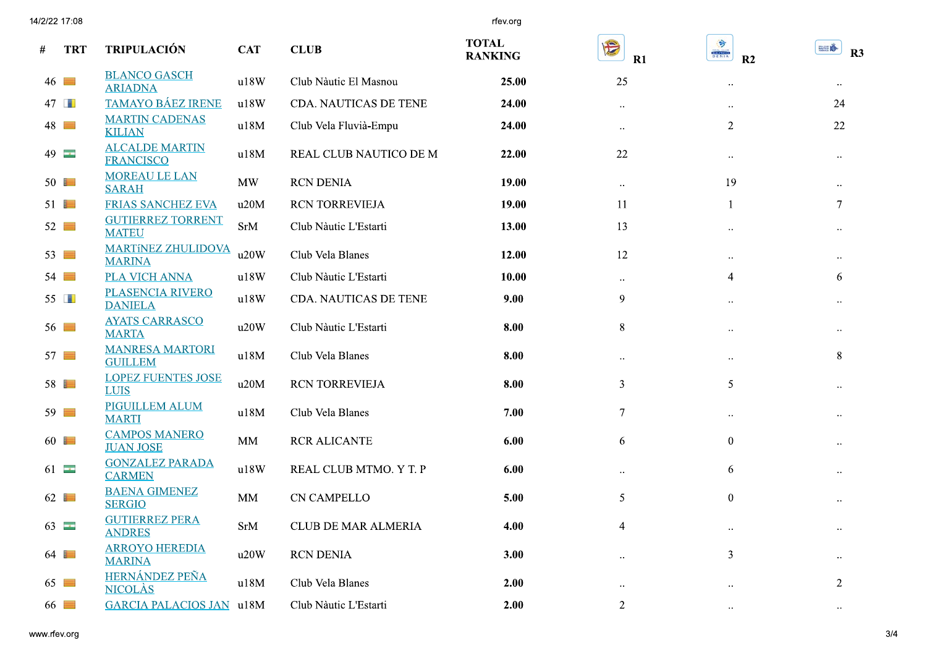14/2/22 17:08

rfev.org

| # | <b>TRT</b>          | <b>TRIPULACIÓN</b>                         | <b>CAT</b> | <b>CLUB</b>            | <b>TOTAL</b><br><b>RANKING</b> | E<br>R1                | 3<br><b>NATION</b><br>DENIA<br>R <sub>2</sub> | <b>BILLION</b><br>R3 |
|---|---------------------|--------------------------------------------|------------|------------------------|--------------------------------|------------------------|-----------------------------------------------|----------------------|
|   | $46 \equiv$         | <b>BLANCO GASCH</b><br><b>ARIADNA</b>      | u18W       | Club Nàutic El Masnou  | 25.00                          | 25                     | $\ddot{\phantom{0}}$                          | $\ldots$             |
|   | 47                  | <b>TAMAYO BÁEZ IRENE</b>                   | u18W       | CDA. NAUTICAS DE TENE  | 24.00                          | $\ddotsc$              | $\ddotsc$                                     | 24                   |
|   | 48                  | <b>MARTIN CADENAS</b><br><b>KILIAN</b>     | u18M       | Club Vela Fluvià-Empu  | 24.00                          | $\ddot{\phantom{0}}$   | 2                                             | 22                   |
|   | $49$ $-$            | <b>ALCALDE MARTIN</b><br><b>FRANCISCO</b>  | u18M       | REAL CLUB NAUTICO DE M | 22.00                          | 22                     | $\ddotsc$                                     | $\ldots$             |
|   | $50 \equiv$         | <b>MOREAU LE LAN</b><br><b>SARAH</b>       | <b>MW</b>  | <b>RCN DENIA</b>       | 19.00                          | $\ddotsc$              | 19                                            | $\ddot{\phantom{0}}$ |
|   | $51$ $\blacksquare$ | <b>FRIAS SANCHEZ EVA</b>                   | u20M       | RCN TORREVIEJA         | 19.00                          | 11                     | 1                                             | $\overline{7}$       |
|   | $52 \equiv$         | <b>GUTIERREZ TORRENT</b><br><b>MATEU</b>   | SrM        | Club Nàutic L'Estarti  | 13.00                          | 13                     | $\ddot{\phantom{0}}$                          |                      |
|   | $53 \equiv$         | <b>MARTINEZ ZHULIDOVA</b><br><b>MARINA</b> | u20W       | Club Vela Blanes       | 12.00                          | 12                     | $\ddot{\phantom{0}}$                          | $\ldots$             |
|   | $54 \equiv$         | PLA VICH ANNA                              | u18W       | Club Nàutic L'Estarti  | 10.00                          | $\ldots$               | 4                                             | 6                    |
|   | $55$ $\blacksquare$ | PLASENCIA RIVERO<br><b>DANIELA</b>         | u18W       | CDA. NAUTICAS DE TENE  | 9.00                           | 9                      | $\ddot{\phantom{0}}$                          | $\ldots$             |
|   | $56 \equiv$         | <b>AYATS CARRASCO</b><br><b>MARTA</b>      | u20W       | Club Nàutic L'Estarti  | 8.00                           | 8                      | $\ddot{\phantom{0}}$                          | $\ddotsc$            |
|   | $57 \equiv$         | <b>MANRESA MARTORI</b><br><b>GUILLEM</b>   | u18M       | Club Vela Blanes       | 8.00                           | $\ldots$               | $\ddot{\phantom{0}}$                          | 8                    |
|   | $58 \equiv$         | <b>LOPEZ FUENTES JOSE</b><br><b>LUIS</b>   | u20M       | RCN TORREVIEJA         | 8.00                           | 3                      | 5                                             | $\ddotsc$            |
|   | $59 \equiv$         | <b>PIGUILLEM ALUM</b><br><b>MARTI</b>      | u18M       | Club Vela Blanes       | 7.00                           | $7\overline{ }$        | $\ldots$                                      | $\ldots$             |
|   | $60$ $\blacksquare$ | <b>CAMPOS MANERO</b><br><b>JUAN JOSE</b>   | MM         | <b>RCR ALICANTE</b>    | 6.00                           | 6                      | $\boldsymbol{0}$                              | $\ddot{\phantom{0}}$ |
|   | $61 -$              | <b>GONZALEZ PARADA</b><br><b>CARMEN</b>    | u18W       | REAL CLUB MTMO. Y T. P | 6.00                           |                        | 6                                             | $\ldots$             |
|   | $62 \Box$           | <b>BAENA GIMENEZ</b><br><b>SERGIO</b>      | MM         | <b>CN CAMPELLO</b>     | 5.00                           | 5                      | $\mathbf{0}$                                  | $\cdot$ .            |
|   | 63                  | <b>GUTIERREZ PERA</b><br><b>ANDRES</b>     | SrM        | CLUB DE MAR ALMERIA    | 4.00                           | $\overline{4}$         |                                               |                      |
|   | 64                  | <b>ARROYO HEREDIA</b><br><b>MARINA</b>     | u20W       | <b>RCN DENIA</b>       | 3.00                           |                        | 3                                             |                      |
|   | $65 \equiv$         | HERNÁNDEZ PEÑA<br><b>NICOLÀS</b>           | u18M       | Club Vela Blanes       | 2.00                           | $\ddot{\phantom{a}}$ . | $\bullet\,\bullet$                            | $\overline{2}$       |
|   | $66 \equiv$         | <b>GARCIA PALACIOS JAN u18M</b>            |            | Club Nàutic L'Estarti  | 2.00                           | 2                      | $\ddotsc$                                     | $\ddotsc$            |